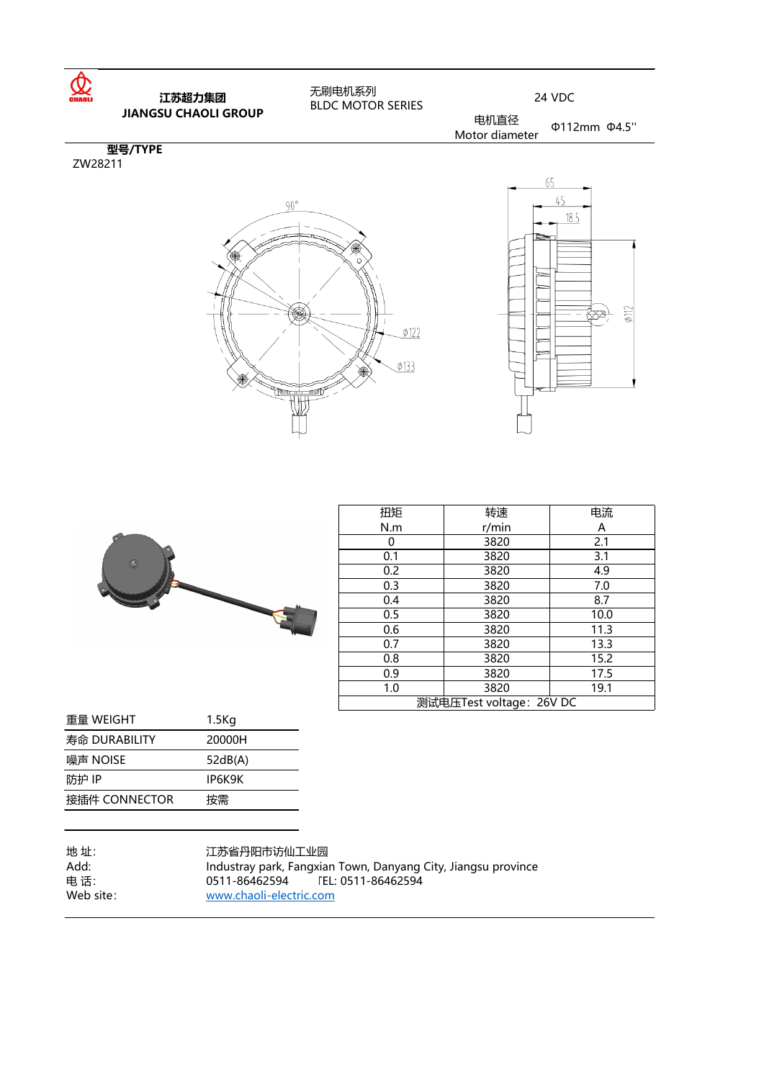| 扭矩                       | 转速    | 电流                      |  |
|--------------------------|-------|-------------------------|--|
| N.m                      | r/min | $\overline{\mathsf{A}}$ |  |
|                          | 3820  | 2.1                     |  |
| 0.1                      | 3820  | 3.1                     |  |
| 0.2                      | 3820  | 4.9                     |  |
| 0.3                      | 3820  | 7.0                     |  |
| 0.4                      | 3820  | 8.7                     |  |
| 0.5                      | 3820  | 10.0                    |  |
| 0.6                      | 3820  | 11.3                    |  |
| 0.7                      | 3820  | 13.3                    |  |
| 0.8                      | 3820  | 15.2                    |  |
| 0.9                      | 3820  | 17.5                    |  |
| 1.0                      | 3820  | 19.1                    |  |
| 测试电压Test voltage: 26V DC |       |                         |  |



| Œ              |  |
|----------------|--|
| o              |  |
| $\bullet$<br>Œ |  |
|                |  |

| 重量 WEIGHT     | 1.5Kg   |
|---------------|---------|
| 寿命 DURABILITY | 20000H  |
| 噪声 NOISE      | 52dB(A) |
| 防护 IP         | IP6K9K  |
| 接插件 CONNECTOR | 按需      |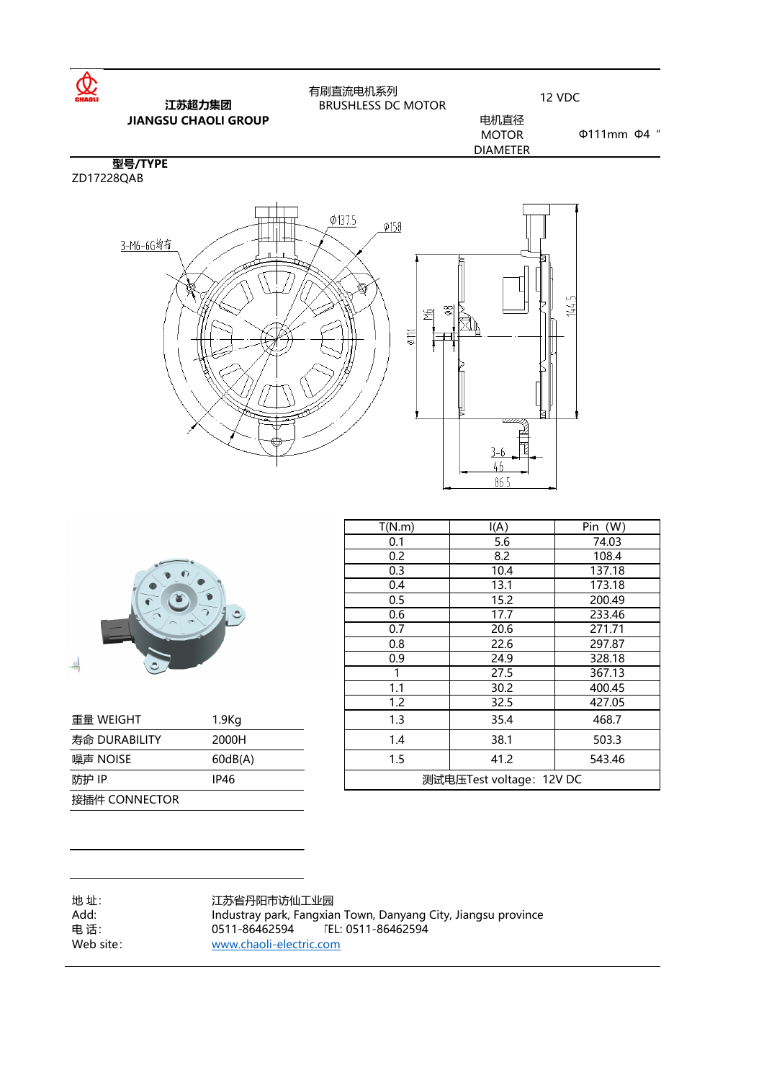| T(N.m) | I(A)                       | Pin (W)                                        |
|--------|----------------------------|------------------------------------------------|
| 0.1    | 5.6                        | 74.03                                          |
| 0.2    | 8.2                        | 108.4                                          |
| 0.3    | 10.4                       | 137.18                                         |
| 0.4    | 13.1                       | 173.18                                         |
| 0.5    | 15.2                       | 200.49                                         |
| 0.6    | 17.7                       | 233.46                                         |
| 0.7    | 20.6                       | 271.71                                         |
| 0.8    | 22.6                       | 297.87                                         |
| 0.9    | 24.9                       | 328.18                                         |
|        | 27.5                       | 367.13                                         |
| 1.1    | 30.2                       | 400.45                                         |
| 1.2    | 32.5                       | 427.05                                         |
| 1.3    | 35.4                       | 468.7                                          |
| 1.4    | 38.1                       | 503.3                                          |
|        | $\lambda$ $\lambda$ $\sim$ | $\Gamma$ $\Lambda$ $\Omega$ $\Lambda$ $\Gamma$ |





| 重量 WEIGHT     | 1.9Kg       |                          | 35.4 | 468.7  |
|---------------|-------------|--------------------------|------|--------|
| 寿命 DURABILITY | 2000H       | 1.4                      | 38.1 | 503.3  |
| 噪声 NOISE      | 60dB(A)     | 1.5                      | 41.2 | 543.46 |
| 防护 IP         | <b>IP46</b> | 测试电压Test voltage: 12V DC |      |        |
| 接插件 CONNECTOR |             |                          |      |        |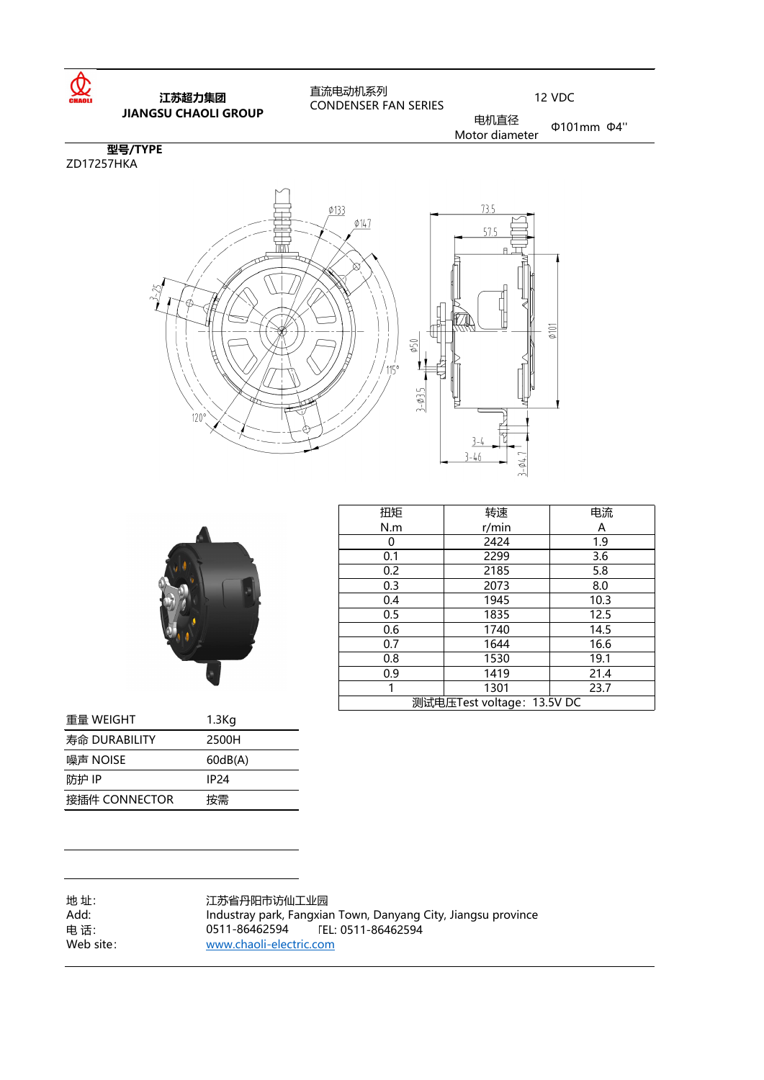| <b>"不</b> 厂 " " ヽ ̄  ̄ ー | UUUUU            |
|--------------------------|------------------|
| 防护 IP                    | IP <sub>24</sub> |
| 接插件 CONNECTOR            | 按需               |

| 扭矩                         | 转速    | 电流                |  |
|----------------------------|-------|-------------------|--|
| N.m                        | r/min | $\bm{\mathsf{A}}$ |  |
| ( )                        | 2424  | 1.9               |  |
| 0.1                        | 2299  | 3.6               |  |
| 0.2                        | 2185  | 5.8               |  |
| 0.3                        | 2073  | 8.0               |  |
| 0.4                        | 1945  | 10.3              |  |
| 0.5                        | 1835  | 12.5              |  |
| 0.6                        | 1740  | 14.5              |  |
| 0.7                        | 1644  | 16.6              |  |
| 0.8                        | 1530  | 19.1              |  |
| 0.9                        | 1419  | 21.4              |  |
|                            | 1301  | 23.7              |  |
| 测试电压Test voltage: 13.5V DC |       |                   |  |



| 重量 WEIGHT     | 1.3 <sub>Kq</sub> |
|---------------|-------------------|
| 寿命 DURABILITY | 2500H             |
| 噪声 NOISE      | 60dB(A)           |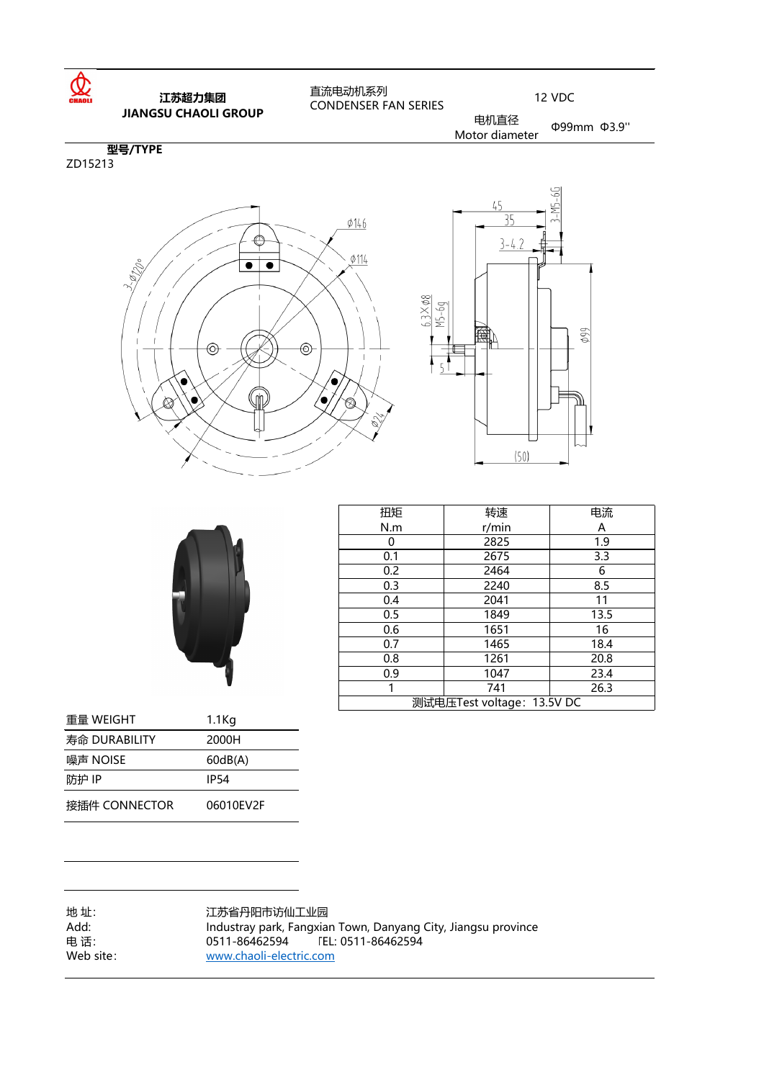| 扭矩                         | 转速    | 电流                |  |
|----------------------------|-------|-------------------|--|
| N.m                        | r/min | $\bm{\mathsf{A}}$ |  |
|                            | 2825  | 1.9               |  |
| 0.1                        | 2675  | 3.3               |  |
| 0.2                        | 2464  | 6                 |  |
| 0.3                        | 2240  | 8.5               |  |
| 0.4                        | 2041  | 11                |  |
| 0.5                        | 1849  | 13.5              |  |
| 0.6                        | 1651  | 16                |  |
| 0.7                        | 1465  | 18.4              |  |
| 0.8                        | 1261  | 20.8              |  |
| 0.9                        | 1047  | 23.4              |  |
|                            | 741   | 26.3              |  |
| 测试电压Test voltage: 13.5V DC |       |                   |  |







| 重量 WEIGHT          | 1.1 <sub>Kg</sub>       |                                                                                                   |
|--------------------|-------------------------|---------------------------------------------------------------------------------------------------|
| 寿命 DURABILITY      | 2000H                   |                                                                                                   |
| 噪声 NOISE           | 60dB(A)                 |                                                                                                   |
| 防护 IP              | <b>IP54</b>             |                                                                                                   |
| 接插件 CONNECTOR      | 06010EV2F               |                                                                                                   |
|                    |                         |                                                                                                   |
|                    |                         |                                                                                                   |
|                    |                         |                                                                                                   |
| 地址:<br>Add:<br>电话: | 江苏省丹阳市访仙工业园             | Industray park, Fangxian Town, Danyang City, Jiangsu province<br>0511-86462594 FEL: 0511-86462594 |
| Web site:          | www.chaoli-electric.com |                                                                                                   |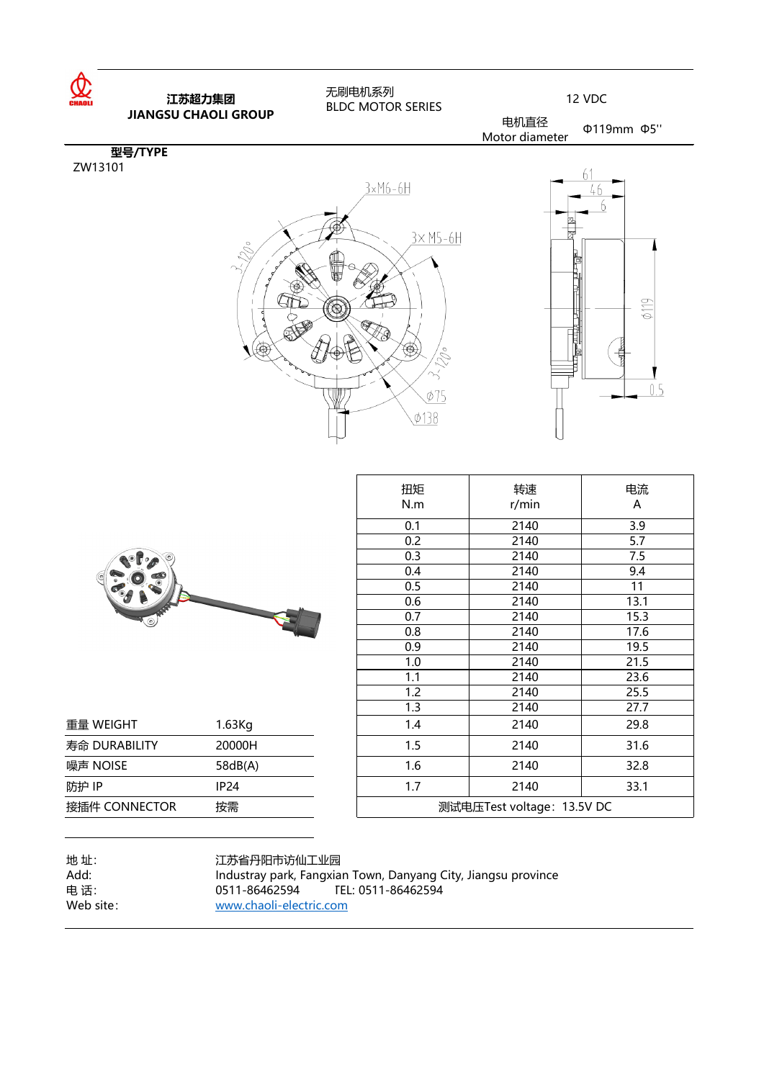

|               |                                  | 扭矩                                                            | 转速                         | 电流           |
|---------------|----------------------------------|---------------------------------------------------------------|----------------------------|--------------|
|               |                                  | N.m                                                           | r/min                      | $\mathsf{A}$ |
|               |                                  | 0.1                                                           | 2140                       | 3.9          |
|               |                                  | 0.2                                                           | 2140                       | 5.7          |
|               |                                  | 0.3                                                           | 2140                       | 7.5          |
|               |                                  | 0.4                                                           | 2140                       | 9.4          |
|               |                                  | 0.5                                                           | 2140                       | 11           |
|               |                                  | 0.6                                                           | 2140                       | 13.1         |
|               |                                  | 0.7                                                           | 2140                       | 15.3         |
|               |                                  | 0.8                                                           | 2140                       | 17.6         |
|               |                                  | 0.9                                                           | 2140                       | 19.5         |
|               |                                  | 1.0                                                           | 2140                       | 21.5         |
|               |                                  | 1.1                                                           | 2140                       | 23.6         |
|               |                                  | 1.2                                                           | 2140                       | 25.5         |
|               |                                  | 1.3                                                           | 2140                       | 27.7         |
| 重量 WEIGHT     | 1.63Kg                           | 1.4                                                           | 2140                       | 29.8         |
| 寿命 DURABILITY | 20000H                           | 1.5                                                           | 2140                       | 31.6         |
| 噪声 NOISE      | 58dB(A)                          | 1.6                                                           | 2140                       | 32.8         |
| 防护 IP         | <b>IP24</b>                      | 1.7                                                           | 2140                       | 33.1         |
| 接插件 CONNECTOR | 按需                               |                                                               | 测试电压Test voltage: 13.5V DC |              |
| 地址:<br>Add:   | 江苏省丹阳市访仙工业园                      | Industray park, Fangxian Town, Danyang City, Jiangsu province |                            |              |
| 电话:           | 0511-86462594 TEL: 0511-86462594 |                                                               |                            |              |
| Web site:     | www.chaoli-electric.com          |                                                               |                            |              |



| 重量 WEIGHT     | 1.63Kg                                                        | 1.4                        | 2140 | 29.8 |
|---------------|---------------------------------------------------------------|----------------------------|------|------|
| 寿命 DURABILITY | 20000H                                                        | 1.5                        | 2140 | 31.6 |
| 噪声 NOISE      | 58dB(A)                                                       | 1.6                        | 2140 | 32.8 |
| 防护 IP         | <b>IP24</b>                                                   | 1.7                        | 2140 | 33.1 |
| 接插件 CONNECTOR | 按需                                                            | 测试电压Test voltage: 13.5V DC |      |      |
|               |                                                               |                            |      |      |
| 地址:           | 江苏省丹阳市访仙工业园                                                   |                            |      |      |
| Add:          | Industray park, Fangxian Town, Danyang City, Jiangsu province |                            |      |      |
| 电话:           | 0511-86462594                                                 | TEL: 0511-86462594         |      |      |
| Web site:     | www.chaoli-electric.com                                       |                            |      |      |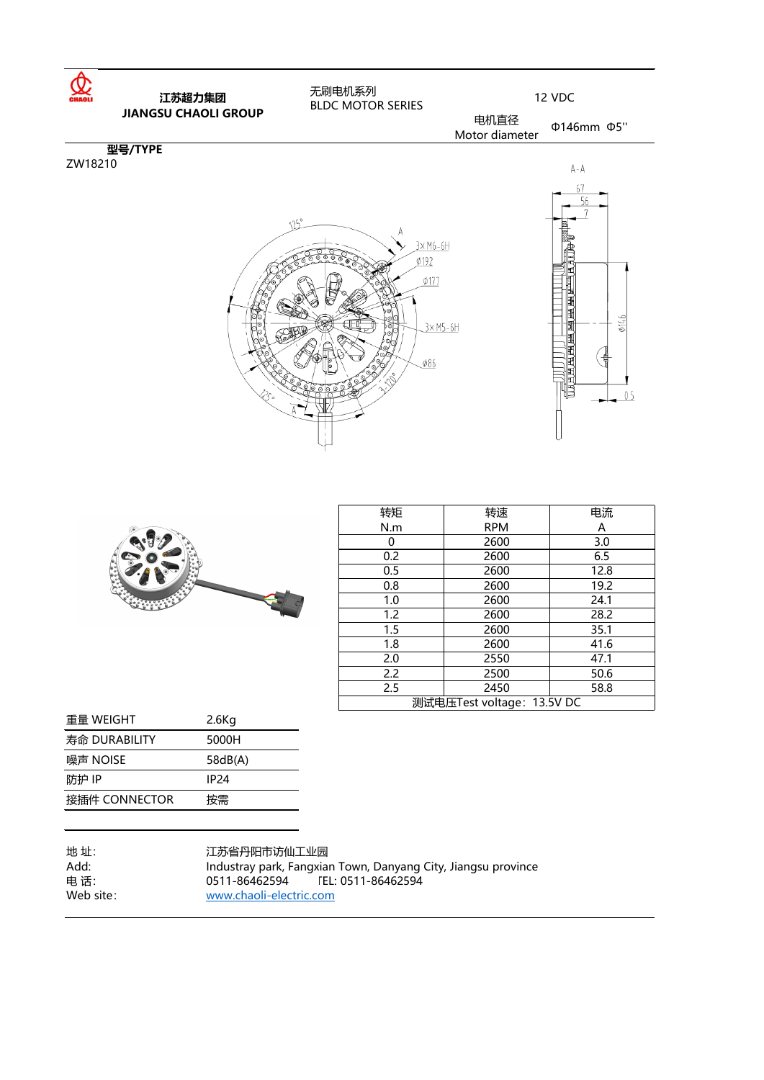| 转矩                         | 转速         | 电流           |
|----------------------------|------------|--------------|
| N.m                        | <b>RPM</b> | $\mathsf{A}$ |
| ( )                        | 2600       | 3.0          |
| 0.2                        | 2600       | 6.5          |
| 0.5                        | 2600       | 12.8         |
| 0.8                        | 2600       | 19.2         |
| 1.0                        | 2600       | 24.1         |
| 1.2                        | 2600       | 28.2         |
| 1.5                        | 2600       | 35.1         |
| 1.8                        | 2600       | 41.6         |
| 2.0                        | 2550       | 47.1         |
| 2.2                        | 2500       | 50.6         |
| 2.5                        | 2450       | 58.8         |
| 测试电压Test voltage: 13.5V DC |            |              |





| 重量 WEIGHT     | $2.6$ Kg |
|---------------|----------|
| 寿命 DURABILITY | 5000H    |
| 噪声 NOISE      | 58dB(A)  |
| 防护 IP         | IP24     |
| 接插件 CONNECTOR | 按需       |
|               |          |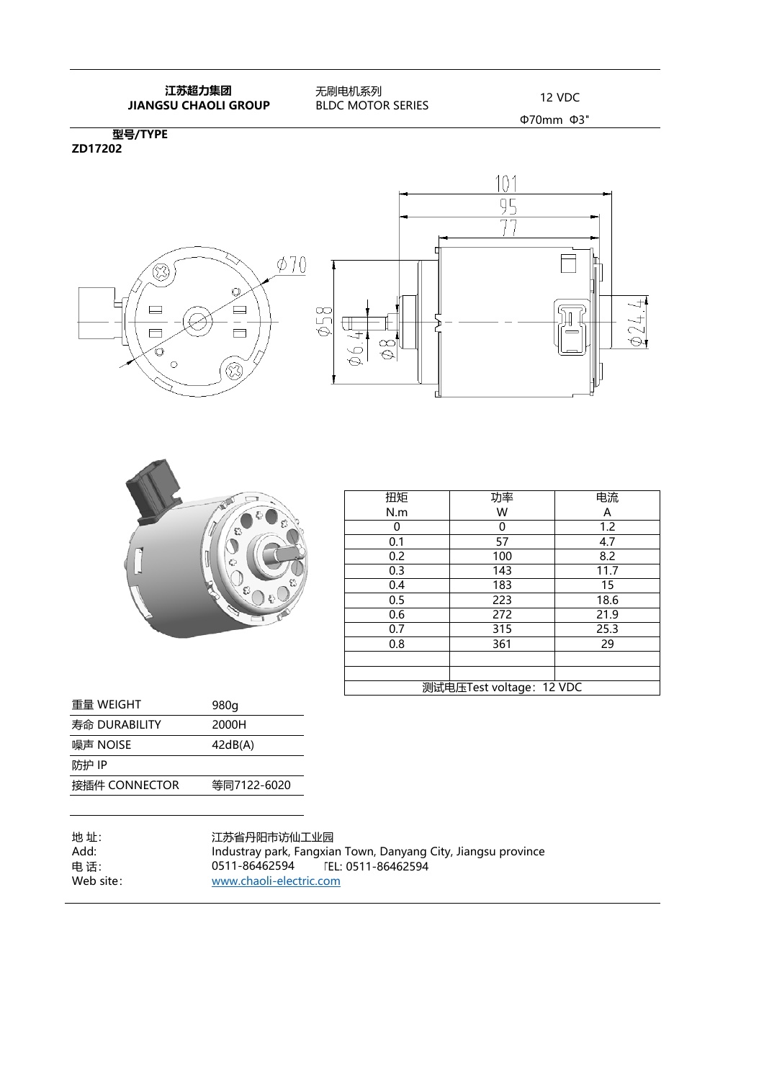## **江苏超力集团 IL办超刀集团**<br>**JIANGSU CHAOLI GROUP** BLDC MOTOR SERIES 12 VDC

 无刷电机系列 BLDC MOTOR SERIES

Φ70mm Φ3"

**型号/TYPE ZD17202**







| 扭矩                       | 功率  | 电流   |
|--------------------------|-----|------|
| N.m                      | W   | Α    |
|                          | O   | 1.2  |
| 0.1                      | 57  | 4.7  |
| 0.2                      | 100 | 8.2  |
| 0.3                      | 143 | 11.7 |
| 0.4                      | 183 | 15   |
| 0.5                      | 223 | 18.6 |
| 0.6                      | 272 | 21.9 |
| 0.7                      | 315 | 25.3 |
| 0.8                      | 361 | 29   |
|                          |     |      |
|                          |     |      |
| 测试电压Test voltage: 12 VDC |     |      |

| 重量 WEIGHT     | 980g        |
|---------------|-------------|
| 寿命 DURABILITY | 2000H       |
| 噪声 NOISE      | 42dB(A)     |
| 防护 IP         |             |
| 接插件 CONNECTOR | 等同7122-6020 |
|               |             |

地 址: 江苏省丹阳市访仙工业园<br>Add: Industray park, Fangxia Add: Industray park, Fangxian Town, Danyang City, Jiangsu province 电 话: TEL: 0511-86462594 0511-86462594Web site: www.chaoli-electric.com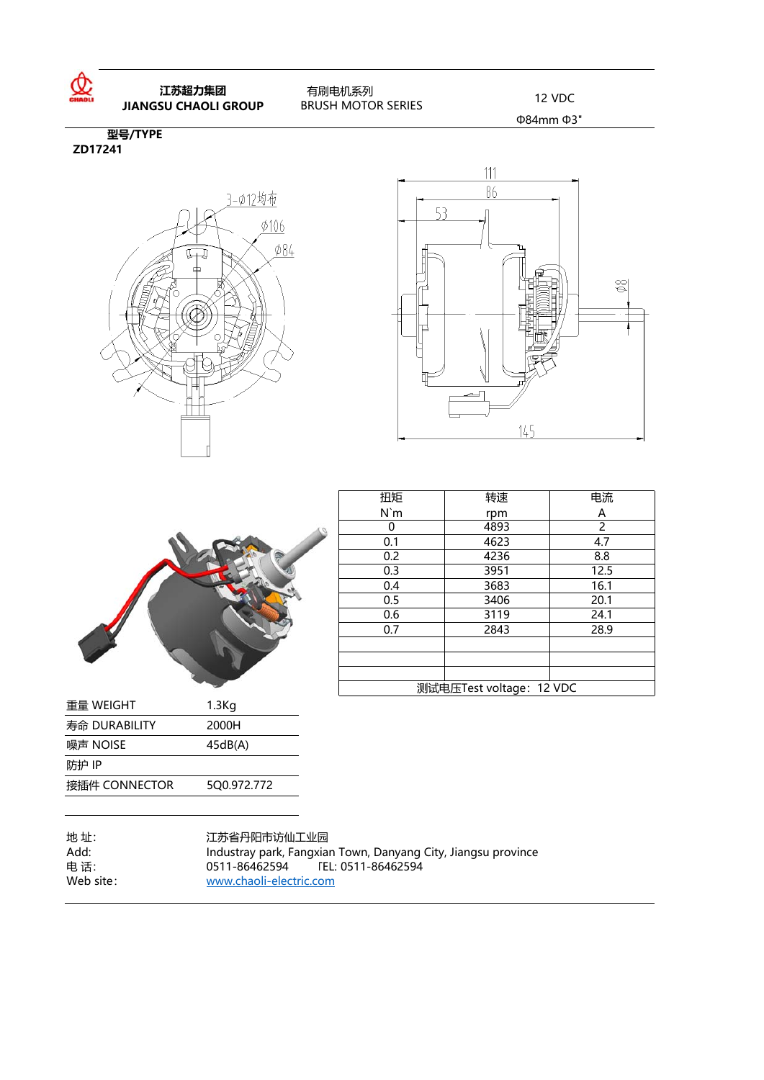

 **江苏超力集团 IL办超刀集团 12 VDC<br><b>JIANGSU CHAOLI GROUP** BRUSH MOTOR SERIES 12 VDC

 有刷电机系列 BRUSH MOTOR SERIES

Φ84mm Φ3"

**型号/TYPE ZD17241**







| 扭矩                       | 转速   | 电流   |
|--------------------------|------|------|
| N'm                      | rpm  | Α    |
|                          | 4893 | 2    |
| 0.1                      | 4623 | 4.7  |
| 0.2                      | 4236 | 8.8  |
| 0.3                      | 3951 | 12.5 |
| 0.4                      | 3683 | 16.1 |
| 0.5                      | 3406 | 20.1 |
| 0.6                      | 3119 | 24.1 |
| 0.7                      | 2843 | 28.9 |
|                          |      |      |
|                          |      |      |
|                          |      |      |
| 测试电压Test voltage: 12 VDC |      |      |

| 重量 WEIGHT     | $1.3$ Kg    |
|---------------|-------------|
| 寿命 DURABILITY | 2000H       |
| 噪声 NOISE      | 45dB(A)     |
| 防护 IP         |             |
| 接插件 CONNECTOR | 500.972.772 |

| 地 址:       |
|------------|
| Add:       |
| 电 话:       |
| Web site : |